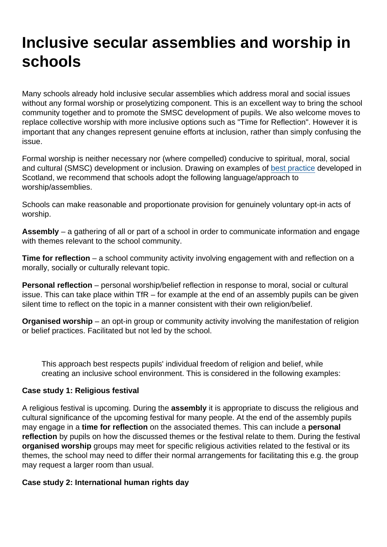## Inclusive secular assemblies and worship in schools

Many schools already hold inclusive secular assemblies which address moral and social issues without any formal worship or proselytizing component. This is an excellent way to bring the school community together and to promote the SMSC development of pupils. We also welcome moves to replace collective worship with more inclusive options such as "Time for Reflection". However it is important that any changes represent genuine efforts at inclusion, rather than simply confusing the issue.

Formal worship is neither necessary nor (where compelled) conducive to spiritual, moral, social and cultural (SMSC) development or inclusion. Drawing on examples of [best practice](https://education.gov.scot/Documents/cfe-briefing-16.pdf) developed in Scotland, we recommend that schools adopt the following language/approach to worship/assemblies.

Schools can make reasonable and proportionate provision for genuinely voluntary opt-in acts of worship.

Assembly – a gathering of all or part of a school in order to communicate information and engage with themes relevant to the school community.

Time for reflection – a school community activity involving engagement with and reflection on a morally, socially or culturally relevant topic.

Personal reflection – personal worship/belief reflection in response to moral, social or cultural issue. This can take place within TfR – for example at the end of an assembly pupils can be given silent time to reflect on the topic in a manner consistent with their own religion/belief.

Organised worship – an opt-in group or community activity involving the manifestation of religion or belief practices. Facilitated but not led by the school.

This approach best respects pupils' individual freedom of religion and belief, while creating an inclusive school environment. This is considered in the following examples:

## Case study 1: Religious festival

A religious festival is upcoming. During the assembly it is appropriate to discuss the religious and cultural significance of the upcoming festival for many people. At the end of the assembly pupils may engage in a time for reflection on the associated themes. This can include a personal reflection by pupils on how the discussed themes or the festival relate to them. During the festival organised worship groups may meet for specific religious activities related to the festival or its themes, the school may need to differ their normal arrangements for facilitating this e.g. the group may request a larger room than usual.

Case study 2: International human rights day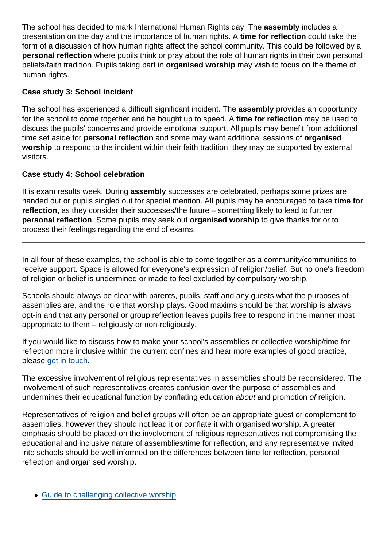The school has decided to mark International Human Rights day. The assembly includes a presentation on the day and the importance of human rights. A time for reflection could take the form of a discussion of how human rights affect the school community. This could be followed by a personal reflection where pupils think or pray about the role of human rights in their own personal beliefs/faith tradition. Pupils taking part in organised worship may wish to focus on the theme of human rights.

## Case study 3: School incident

The school has experienced a difficult significant incident. The assembly provides an opportunity for the school to come together and be bought up to speed. A time for reflection may be used to discuss the pupils' concerns and provide emotional support. All pupils may benefit from additional time set aside for personal reflection and some may want additional sessions of organised worship to respond to the incident within their faith tradition, they may be supported by external visitors.

## Case study 4: School celebration

It is exam results week. During assembly successes are celebrated, perhaps some prizes are handed out or pupils singled out for special mention. All pupils may be encouraged to take time for reflection, as they consider their successes/the future – something likely to lead to further personal reflection . Some pupils may seek out organised worship to give thanks for or to process their feelings regarding the end of exams.

In all four of these examples, the school is able to come together as a community/communities to receive support. Space is allowed for everyone's expression of religion/belief. But no one's freedom of religion or belief is undermined or made to feel excluded by compulsory worship.

Schools should always be clear with parents, pupils, staff and any guests what the purposes of assemblies are, and the role that worship plays. Good maxims should be that worship is always opt-in and that any personal or group reflection leaves pupils free to respond in the manner most appropriate to them – religiously or non-religiously.

If you would like to discuss how to make your school's assemblies or collective worship/time for reflection more inclusive within the current confines and hear more examples of good practice, please [get in touch.](mailto:education@secularism.org.uk)

The excessive involvement of religious representatives in assemblies should be reconsidered. The involvement of such representatives creates confusion over the purpose of assemblies and undermines their educational function by conflating education about and promotion of religion.

Representatives of religion and belief groups will often be an appropriate guest or complement to assemblies, however they should not lead it or conflate it with organised worship. A greater emphasis should be placed on the involvement of religious representatives not compromising the educational and inclusive nature of assemblies/time for reflection, and any representative invited into schools should be well informed on the differences between time for reflection, personal reflection and organised worship.

• [Guide to challenging collective worship](https://www.secularism.org.uk/end-compulsory-worship/guide.html)